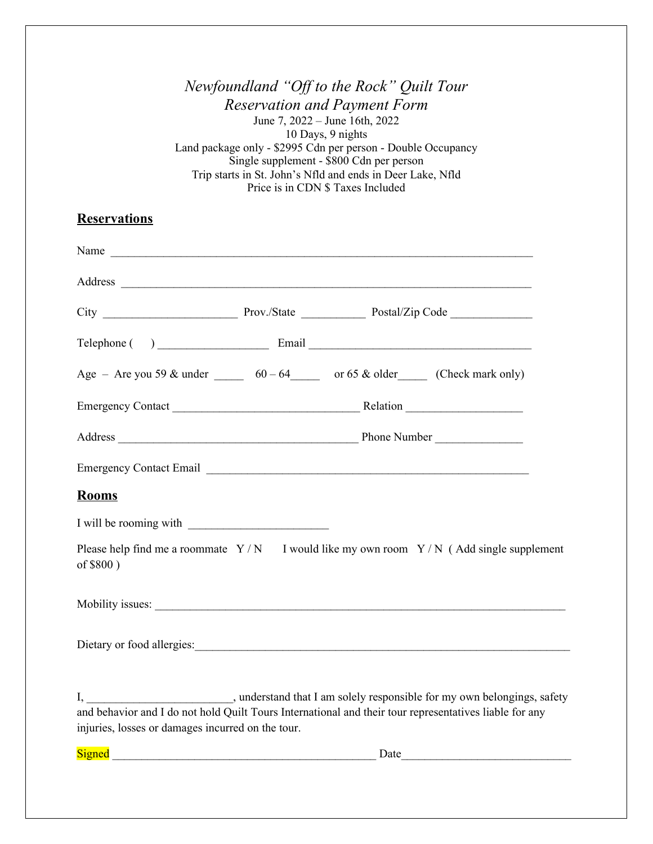|                                                                                                                                                             | Newfoundland "Off to the Rock" Quilt Tour<br><b>Reservation and Payment Form</b><br>June 7, 2022 – June 16th, 2022<br>10 Days, 9 nights<br>Land package only - \$2995 Cdn per person - Double Occupancy<br>Single supplement - \$800 Cdn per person<br>Trip starts in St. John's Nfld and ends in Deer Lake, Nfld<br>Price is in CDN \$ Taxes Included |                                                                                                          |
|-------------------------------------------------------------------------------------------------------------------------------------------------------------|--------------------------------------------------------------------------------------------------------------------------------------------------------------------------------------------------------------------------------------------------------------------------------------------------------------------------------------------------------|----------------------------------------------------------------------------------------------------------|
| <b>Reservations</b>                                                                                                                                         |                                                                                                                                                                                                                                                                                                                                                        |                                                                                                          |
| Name                                                                                                                                                        |                                                                                                                                                                                                                                                                                                                                                        |                                                                                                          |
|                                                                                                                                                             |                                                                                                                                                                                                                                                                                                                                                        |                                                                                                          |
|                                                                                                                                                             |                                                                                                                                                                                                                                                                                                                                                        |                                                                                                          |
|                                                                                                                                                             |                                                                                                                                                                                                                                                                                                                                                        |                                                                                                          |
| Age – Are you 59 & under $\frac{60-64}{\pi}$ or 65 & older (Check mark only)                                                                                |                                                                                                                                                                                                                                                                                                                                                        |                                                                                                          |
|                                                                                                                                                             |                                                                                                                                                                                                                                                                                                                                                        |                                                                                                          |
|                                                                                                                                                             |                                                                                                                                                                                                                                                                                                                                                        |                                                                                                          |
|                                                                                                                                                             |                                                                                                                                                                                                                                                                                                                                                        |                                                                                                          |
| <b>Rooms</b>                                                                                                                                                |                                                                                                                                                                                                                                                                                                                                                        |                                                                                                          |
| I will be rooming with                                                                                                                                      |                                                                                                                                                                                                                                                                                                                                                        |                                                                                                          |
| of \$800)                                                                                                                                                   |                                                                                                                                                                                                                                                                                                                                                        | Please help find me a roommate $Y/N$ I would like my own room $Y/N$ (Add single supplement               |
|                                                                                                                                                             |                                                                                                                                                                                                                                                                                                                                                        |                                                                                                          |
|                                                                                                                                                             |                                                                                                                                                                                                                                                                                                                                                        |                                                                                                          |
| and behavior and I do not hold Quilt Tours International and their tour representatives liable for any<br>injuries, losses or damages incurred on the tour. |                                                                                                                                                                                                                                                                                                                                                        | I, ______________________________, understand that I am solely responsible for my own belongings, safety |
|                                                                                                                                                             |                                                                                                                                                                                                                                                                                                                                                        |                                                                                                          |